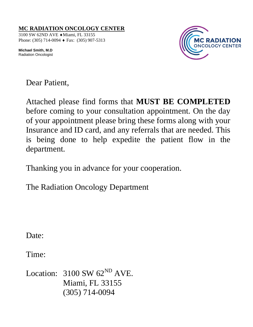3100 SW 62ND AVE ♦Miami, FL 33155 Phone: (305) 714-0094 ♦ Fax: (305) 907-5313

**Michael Smith, M.D**  Radiation Oncologist



Dear Patient,

Attached please find forms that **MUST BE COMPLETED** before coming to your consultation appointment. On the day of your appointment please bring these forms along with your Insurance and ID card, and any referrals that are needed. This is being done to help expedite the patient flow in the department.

Thanking you in advance for your cooperation.

The Radiation Oncology Department

Date:

Time:

Location:  $3100$  SW  $62^{ND}$  AVE. Miami, FL 33155 (305) 714-0094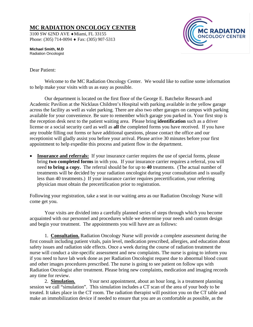3100 SW 62ND AVE ♦Miami, FL 33155 Phone: (305) 714-0094 ♦ Fax: (305) 907-5313



**Michael Smith, M.D**  Radiation Oncologist

#### Dear Patient:

Welcome to the MC Radiation Oncology Center. We would like to outline some information to help make your visits with us as easy as possible.

Our department is located on the first floor of the George E. Batchelor Research and Academic Pavilion at the Nicklaus Children's Hospital with parking available in the yellow garage across the facility as well as valet parking. There are also two other garages on campus with parking available for your convenience. Be sure to remember which garage you parked in. Your first stop is the reception desk next to the patient waiting area. Please bring **identification** such as a driver license or a social security card as well as **all** the completed forms you have received. If you have any trouble filling out forms or have additional questions, please contact the office and our receptionist will gladly assist you before your arrival. Please arrive 30 minutes before your first appointment to help expedite this process and patient flow in the department.

**Insurance and referrals:** If your insurance carrier requires the use of special forms, please bring **two completed forms** in with you. If your insurance carrier requires a referral, you will need **to bring a copy.** The referral should be for up to **40** treatments. (The actual number of treatments will be decided by your radiation oncologist during your consultation and is usually less than 40 treatments.) If your insurance carrier requires precertification, your referring physician must obtain the precertification prior to registration.

Following your registration, take a seat in our waiting area as our Radiation Oncology Nurse will come get you.

Your visits are divided into a carefully planned series of steps through which you become acquainted with our personnel and procedures while we determine your needs and custom design and begin your treatment. The appointments you will have are as follows:

1. **Consultation.** Radiation Oncology Nurse will provide a complete assessment during the first consult including patient vitals, pain level, medication prescribed, allergies, and education about safety issues and radiation side effects. Once a week during the course of radiation treatment the nurse will conduct a site-specific assessment and new complaints. The nurse is going to inform you if you need to have lab work done as per Radiation Oncologist request due to abnormal blood count and other images procedures prescribed. The nurse is going to see patient on follow ups with Radiation Oncologist after treatment. Please bring new complaints, medication and imaging records any time for review.

2. **Simulation.** Your next appointment, about an hour long, is a treatment planning session we call "simulation". This simulation includes a CT scan of the area of your body to be treated. It takes place in the CT room. The radiation therapist will position you on the CT table and make an immobilization device if needed to ensure that you are as comfortable as possible, as the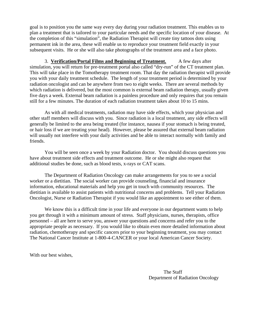goal is to position you the same way every day during your radiation treatment. This enables us to plan a treatment that is tailored to your particular needs and the specific location of your disease. At the completion of this "simulation", the Radiation Therapist will create tiny tattoos dots using permanent ink in the area, these will enable us to reproduce your treatment field exactly in your subsequent visits. He or she will also take photographs of the treatment area and a face photo.

3. **Verification/Portal Films and Beginning of Treatment.** A few days after simulation, you will return for pre-treatment portal also called "dry-run" of the CT treatment plan. This will take place in the Tomotherapy treatment room. That day the radiation therapist will provide you with your daily treatment schedule. The length of your treatment period is determined by your radiation oncologist and can be anywhere from two to eight weeks. There are several methods by which radiation is delivered, but the most common is external beam radiation therapy, usually given five days a week. External beam radiation is a painless procedure and only requires that you remain still for a few minutes. The duration of each radiation treatment takes about 10 to 15 mins.

As with all medical treatments, radiation may have side effects, which your physician and other staff members will discuss with you. Since radiation is a local treatment, any side effects will generally be limited to the area being treated (for instance, nausea if your stomach is being treated, or hair loss if we are treating your head). However, please be assured that external beam radiation will usually not interfere with your daily activities and be able to interact normally with family and friends.

You will be seen once a week by your Radiation doctor. You should discuss questions you have about treatment side effects and treatment outcome. He or she might also request that additional studies be done, such as blood tests, x-rays or CAT scans.

The Department of Radiation Oncology can make arrangements for you to see a social worker or a dietitian. The social worker can provide counseling, financial and insurance information, educational materials and help you get in touch with community resources. The dietitian is available to assist patients with nutritional concerns and problems. Tell your Radiation Oncologist, Nurse or Radiation Therapist if you would like an appointment to see either of them.

We know this is a difficult time in your life and everyone in our department wants to help you get through it with a minimum amount of stress. Staff physicians, nurses, therapists, office personnel – all are here to serve you, answer your questions and concerns and refer you to the appropriate people as necessary. If you would like to obtain even more detailed information about radiation, chemotherapy and specific cancers prior to your beginning treatment, you may contact The National Cancer Institute at 1-800-4-CANCER or your local American Cancer Society.

With our best wishes,

The Staff Department of Radiation Oncology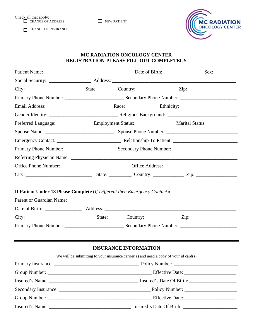Check all that apply: CHANGE OF ADDRESS NEW PATIENT

CHANGE OF INSURANCE



### **MC RADIATION ONCOLOGY CENTER REGISTRATION-PLEASE FILL OUT COMPLETELY**

| If Patient Under 18 Please Complete (If Different then Emergency Contact): |                                                                                       |                              |  |  |
|----------------------------------------------------------------------------|---------------------------------------------------------------------------------------|------------------------------|--|--|
|                                                                            |                                                                                       |                              |  |  |
|                                                                            |                                                                                       |                              |  |  |
|                                                                            |                                                                                       |                              |  |  |
|                                                                            |                                                                                       |                              |  |  |
|                                                                            |                                                                                       | <b>INSURANCE INFORMATION</b> |  |  |
|                                                                            | We will be submitting to your insurance carrier(s) and need a copy of your id card(s) |                              |  |  |
| Deliay Incurange and the Deliay Number                                     |                                                                                       |                              |  |  |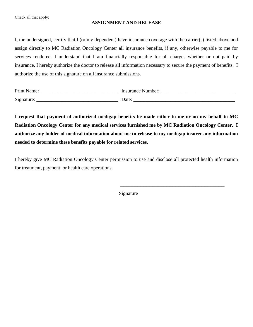Check all that apply:

#### **ASSIGNMENT AND RELEASE**

I, the undersigned, certify that I (or my dependent) have insurance coverage with the carrier(s) listed above and assign directly to MC Radiation Oncology Center all insurance benefits, if any, otherwise payable to me for services rendered. I understand that I am financially responsible for all charges whether or not paid by insurance. I hereby authorize the doctor to release all information necessary to secure the payment of benefits. I authorize the use of this signature on all insurance submissions.

| Print Name: | Insurance Number: |
|-------------|-------------------|
| Signature:  | Date <sup>.</sup> |

**I request that payment of authorized medigap benefits be made either to me or on my behalf to MC Radiation Oncology Center for any medical services furnished me by MC Radiation Oncology Center. I authorize any holder of medical information about me to release to my medigap insurer any information needed to determine these benefits payable for related services.**

I hereby give MC Radiation Oncology Center permission to use and disclose all protected health information for treatment, payment, or health care operations.

Signature

 $\overline{\phantom{a}}$  , and the contract of the contract of the contract of the contract of the contract of the contract of the contract of the contract of the contract of the contract of the contract of the contract of the contrac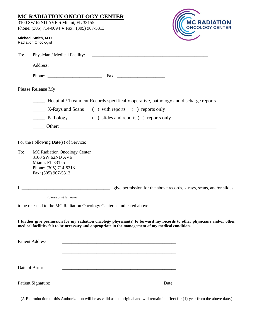|                | <b>MC RADIATION ONCOLOGY CENTER</b><br>3100 SW 62ND AVE + Miami, FL 33155<br>Phone: (305) 714-0094 $\triangle$ Fax: (305) 907-5313                                                                                            | <b>MC RADIATION</b><br>ONCOLOGY CENTER |
|----------------|-------------------------------------------------------------------------------------------------------------------------------------------------------------------------------------------------------------------------------|----------------------------------------|
|                | Michael Smith, M.D<br><b>Radiation Oncologist</b>                                                                                                                                                                             |                                        |
| To:            |                                                                                                                                                                                                                               |                                        |
|                |                                                                                                                                                                                                                               |                                        |
|                |                                                                                                                                                                                                                               |                                        |
|                | Please Release My:                                                                                                                                                                                                            |                                        |
|                | Hospital / Treatment Records specifically operative, pathology and discharge reports                                                                                                                                          |                                        |
|                | X-Rays and Scans () with reports () reports only                                                                                                                                                                              |                                        |
|                | Pathology () slides and reports () reports only                                                                                                                                                                               |                                        |
|                | <u>Denote Cheff</u> Cheff 2014                                                                                                                                                                                                |                                        |
|                |                                                                                                                                                                                                                               |                                        |
| To:            | MC Radiation Oncology Center<br>3100 SW 62ND AVE<br>Miami, FL 33155<br>Phone: (305) 714-5313<br>Fax: (305) 907-5313                                                                                                           |                                        |
|                |                                                                                                                                                                                                                               |                                        |
|                | (please print full name)                                                                                                                                                                                                      |                                        |
|                | to be released to the MC Radiation Oncology Center as indicated above.                                                                                                                                                        |                                        |
|                | I further give permission for my radiation oncology physician(s) to forward my records to other physicians and/or other<br>medical facilities felt to be necessary and appropriate in the management of my medical condition. |                                        |
|                | <b>Patient Address:</b>                                                                                                                                                                                                       |                                        |
|                |                                                                                                                                                                                                                               |                                        |
| Date of Birth: | <u> 1989 - Johann John Stoff, deutscher Stoffen und der Stoffen und der Stoffen und der Stoffen und der Stoffen</u>                                                                                                           |                                        |
|                |                                                                                                                                                                                                                               |                                        |

(A Reproduction of this Authorization will be as valid as the original and will remain in effect for (1) year from the above date.)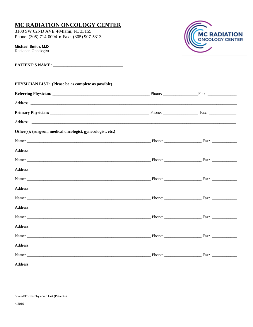3100 SW 62ND AVE + Miami, FL 33155 Phone: (305) 714-0094  $\blacklozenge$  Fax: (305) 907-5313

Michael Smith, M.D **Radiation Oncologist** 

| <b>PHYSICIAN LIST:</b> (Please be as complete as possible)  |  |  |
|-------------------------------------------------------------|--|--|
|                                                             |  |  |
|                                                             |  |  |
|                                                             |  |  |
|                                                             |  |  |
| Other(s): (surgeon, medical oncologist, gynecologist, etc.) |  |  |
|                                                             |  |  |
|                                                             |  |  |
|                                                             |  |  |
|                                                             |  |  |
|                                                             |  |  |
|                                                             |  |  |
|                                                             |  |  |
|                                                             |  |  |
|                                                             |  |  |
|                                                             |  |  |
|                                                             |  |  |
|                                                             |  |  |
|                                                             |  |  |
|                                                             |  |  |

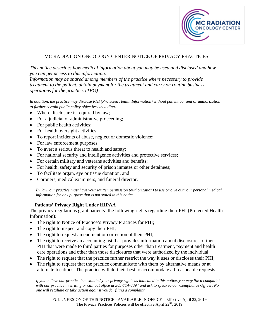

#### MC RADIATION ONCOLOGY CENTER NOTICE OF PRIVACY PRACTICES

*This notice describes how medical information about you may be used and disclosed and how you can get access to this information.*

*Information may be shared among members of the practice where necessary to provide treatment to the patient, obtain payment for the treatment and carry on routine business operations for the practice. (TPO)*

*In addition, the practice may disclose PHI (Protected Health Information) without patient consent or authorization to further certain public policy objectives including:*

- Where disclosure is required by law;
- For a judicial or administrative proceeding;
- For public health activities;
- For health oversight activities:
- To report incidents of abuse, neglect or domestic violence;
- For law enforcement purposes;
- To avert a serious threat to health and safety;
- For national security and intelligence activities and protective services;
- For certain military and veterans activities and benefits;
- For health, safety and security of prison inmates or other detainees;
- To facilitate organ, eye or tissue donation, and
- Coroners, medical examiners, and funeral director.

*By law, our practice must have your written permission (authorization) to use or give out your personal medical information for any purpose that is not stated in this notice.*

#### **Patients' Privacy Right Under HIPAA**

The privacy regulations grant patients' the following rights regarding their PHI (Protected Health Information):

- The right to Notice of Practice's Privacy Practices for PHI;
- The right to inspect and copy their PHI;
- The right to request amendment or correction of their PHI;
- The right to receive an accounting list that provides information about disclosures of their PHI that were made to third parties for purposes other than treatment, payment and health care operations and other than those disclosures that were authorized by the individual;
- The right to request that the practice further restrict the way it uses or discloses their PHI;
- The right to request that the practice communicate with them by alternative means or at alternate locations. The practice will do their best to accommodate all reasonable requests.

*If you believe our practice has violated your privacy rights as indicated in this notice, you may file a complaint with our practice in writing or call out office at 305-714-0094 and ask to speak to our Compliance Officer. No one will retaliate or take action against you for filing a complaint.*

FULL VERSION OF THIS NOTICE - AVAILABLE IN OFFICE – Effective April 22, 2019 The Privacy Practices Policies will be effective April 22<sup>nd</sup>, 2019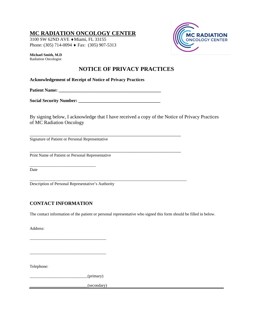3100 SW 62ND AVE ♦Miami, FL 33155 Phone: (305) 714-0094 ♦ Fax: (305) 907-5313

**Michael Smith, M.D**  Radiation Oncologist

# **MC RADIATION ONCOLOGY CENTER**

# **NOTICE OF PRIVACY PRACTICES**

**Acknowledgement of Receipt of Notice of Privacy Practices**

Patient Name:

**Social Security Number: \_\_\_\_\_\_\_\_\_\_\_\_\_\_\_\_\_\_\_\_\_\_\_\_\_\_\_\_\_\_\_\_\_\_\_\_**

\_\_\_\_\_\_\_\_\_\_\_\_\_\_\_\_\_\_\_\_\_\_\_\_\_\_\_\_\_\_\_\_\_\_\_\_\_\_\_\_\_\_\_\_\_\_\_\_\_\_\_\_\_\_\_\_\_\_\_\_\_

\_\_\_\_\_\_\_\_\_\_\_\_\_\_\_\_\_\_\_\_\_\_\_\_\_\_\_\_\_\_\_\_\_\_\_\_\_\_\_\_\_\_\_\_\_\_\_\_\_\_\_\_\_\_\_\_\_\_\_\_\_\_\_\_\_\_\_\_\_\_\_\_\_\_\_\_

By signing below, I acknowledge that I have received a copy of the Notice of Privacy Practices of MC Radiation Oncology

Signature of Patient or Personal Representative

\_\_\_\_\_\_\_\_\_\_\_\_\_\_\_\_\_\_\_\_\_\_\_\_\_\_\_\_\_\_\_\_\_\_\_\_\_\_\_\_\_\_\_\_\_\_\_\_\_\_\_\_\_\_\_\_\_\_\_\_\_ Print Name of Patient or Personal Representative

Date

Description of Personal Representative's Authority

#### **CONTACT INFORMATION**

\_\_\_\_\_\_\_\_\_\_\_\_\_\_\_\_\_\_\_\_\_\_\_\_\_\_\_\_\_\_\_\_

The contact information of the patient or personal representative who signed this form should be filled in below.

Address:

Telephone:

\_\_\_\_\_\_\_\_\_\_\_\_\_\_\_\_\_\_\_\_\_\_\_\_\_\_\_\_(primary)

\_\_\_\_\_\_\_\_\_\_\_\_\_\_\_\_\_\_\_\_\_\_\_\_\_\_\_\_\_\_\_\_\_\_\_\_\_

\_\_\_\_\_\_\_\_\_\_\_\_\_\_\_\_\_\_\_\_\_\_\_\_\_\_\_\_\_\_\_\_\_\_\_\_\_

\_\_\_\_\_\_\_\_\_\_\_\_\_\_\_\_\_\_\_\_\_\_\_\_\_\_\_\_(secondary)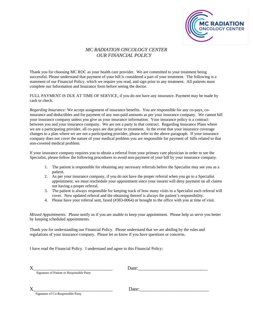

#### *MC RADIATION ONCOLOGY CENTER OUR FINANCIAL POLICY*

Thank you for choosing MC ROC as your health care provider. We are committed to your treatment being successful. Please understand that payment of your bill is considered a part of your treatment. The following is a statement of our Financial Policy, which we require you read, and sign prior to any treatment. All patients must complete our Information and Insurance form before seeing the doctor.

FULL PAYMENT IS DUE AT TIME OF SERVICE, if you do not have any insurance. Payment may be made by cash or check.

*Regarding Insurance:* We accept assignment of insurance benefits. You are responsible for any co-pays, coinsurance and deductibles and for payment of any non-paid amounts as per your insurance company. We cannot bill your insurance company unless you give us your insurance information. Your insurance policy is a contract between you and your insurance company. We are not a party to that contract. Regarding Insurance Plans where we are a participating provider, all co-pays are due prior to treatment. In the event that your insurance coverage changes to a plan where we are not a participating provider, please refer to the above paragraph. If your insurance company does not cover the nature of your medical problem you are responsible for payment of bills related to that non-covered medical problem.

If your insurance company requires you to obtain a referral from your primary care physician in order to see the Specialist, please follow the following procedures to avoid non-payment of your bill by your insurance company.

- 1. The patient is responsible for obtaining any necessary referrals before the Specialist may see you as a patient.
- 2. As per your insurance company, if you do not have the proper referral when you go to a Specialist appointment, we must reschedule your appointment since your insurer will deny payment on all claims not having a proper referral.
- 3. The patient is always responsible for keeping track of how many visits to a Specialist each referral will cover. New updated referral and the obtaining thereof is always the patient's responsibility.
- 4. Please have your referral sent, faxed (#383-0064) or brought to the office with you at time of visit.

*Missed Appointments:* Please notify us if you are unable to keep your appointment. Please help us serve you better by keeping scheduled appointments.

Thank you for understanding our Financial Policy. Please understand that we are abiding by the rules and regulations of your insurance company. Please let us know if you have questions or concerns.

I have read the Financial Policy. I understand and agree to this Financial Policy:

 $X$  Date:

Signature of Patient or Responsible Party

Signature of Co-Responsible Party

 $Date:$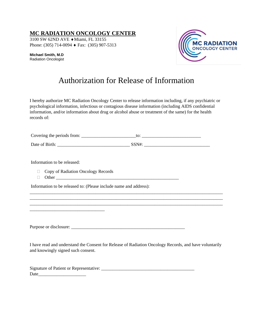3100 SW 62ND AVE ♦Miami, FL 33155 Phone: (305) 714-0094 ♦ Fax: (305) 907-5313

**Michael Smith, M.D**  Radiation Oncologist



# Authorization for Release of Information

I hereby authorize MC Radiation Oncology Center to release information including, if any psychiatric or psychological information, infectious or contagious disease information (including AIDS confidential information, and/or information about drug or alcohol abuse or treatment of the same) for the health records of:

| Covering the periods from: | w       |
|----------------------------|---------|
| Date of Birth:             | 7 C N H |

Information to be released:

□ Copy of Radiation Oncology Records

\_\_\_\_\_\_\_\_\_\_\_\_\_\_\_\_\_\_\_\_\_\_\_\_\_\_\_\_\_\_\_\_\_

Other \_\_\_\_\_\_\_\_\_\_\_\_\_\_\_\_\_\_\_\_\_\_\_\_\_\_\_\_\_\_\_\_\_\_\_\_\_\_\_\_\_\_\_\_\_\_\_\_\_\_\_\_\_\_

Information to be released to: (Please include name and address):

Purpose or disclosure: \_\_\_\_\_\_\_\_\_\_\_\_\_\_\_\_\_\_\_\_\_\_\_\_\_\_\_\_\_\_\_\_\_\_\_\_\_\_\_\_\_\_\_\_\_\_\_\_\_\_

I have read and understand the Consent for Release of Radiation Oncology Records, and have voluntarily and knowingly signed such consent.

\_\_\_\_\_\_\_\_\_\_\_\_\_\_\_\_\_\_\_\_\_\_\_\_\_\_\_\_\_\_\_\_\_\_\_\_\_\_\_\_\_\_\_\_\_\_\_\_\_\_\_\_\_\_\_\_\_\_\_\_\_\_\_\_\_\_\_\_\_\_\_\_\_\_\_\_\_\_\_\_\_\_\_\_\_ \_\_\_\_\_\_\_\_\_\_\_\_\_\_\_\_\_\_\_\_\_\_\_\_\_\_\_\_\_\_\_\_\_\_\_\_\_\_\_\_\_\_\_\_\_\_\_\_\_\_\_\_\_\_\_\_\_\_\_\_\_\_\_\_\_\_\_\_\_\_\_\_\_\_\_\_\_\_\_\_\_\_\_\_\_ \_\_\_\_\_\_\_\_\_\_\_\_\_\_\_\_\_\_\_\_\_\_\_\_\_\_\_\_\_\_\_\_\_\_\_\_\_\_\_\_\_\_\_\_\_\_\_\_\_\_\_\_\_\_\_\_\_\_\_\_\_\_\_\_\_\_\_\_\_\_\_\_\_\_\_\_\_\_\_\_\_\_\_\_\_

| Signature of Patient or Representative: |  |
|-----------------------------------------|--|
| Date                                    |  |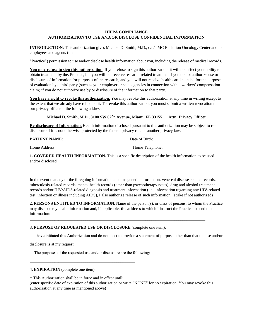#### **HIPPA COMPLIANCE AUTHORIZATION TO USE AND/OR DISCLOSE CONFIDENTIAL INFORMATION**

**INTRODUCTION**: This authorization gives Michael D. Smith, M.D., d/b/a MC Radiation Oncology Center and its employees and agents (the

"Practice") permission to use and/or disclose health information about you, including the release of medical records.

**You may refuse to sign this authorization**. If you refuse to sign this authorization, it will not affect your ability to obtain treatment by the. Practice, but you will not receive research-related treatment if you do not authorize use or disclosure of information for purposes of the research, and you will not receive health care intended for the purpose of evaluation by a third party (such as your employer or state agencies in connection with a workers' compensation claim) if you do not authorize use by or disclosure of the information to that party.

You have a right to revoke this authorization. You may revoke this authorization at any time in writing except to the extent that we already have relied on it. To revoke this authorization, you must submit a written revocation to our privacy officer at the following address:

#### Michael D. Smith, M.D., 3100 SW  $62^{ND}$  Avenue, Miami, FL 33155 Attn: Privacy Officer

**Re-disclosure of Information.** Health information disclosed pursuant to this authorization may be subject to redisclosure if it is not otherwise protected by the federal privacy rule or another privacy law.

**PATIENT NAME**: \_\_\_\_\_\_\_\_\_\_\_\_\_\_\_\_\_\_\_\_\_\_\_\_\_\_\_\_\_\_\_\_Date of Birth: \_\_\_\_\_\_\_\_\_\_\_\_\_\_

Home Address: \_\_\_\_\_\_\_\_\_\_\_\_\_\_\_\_\_\_\_\_\_\_\_\_\_\_\_\_\_\_\_\_\_\_\_\_\_Home Telephone:\_\_\_\_\_\_\_\_\_\_\_\_\_\_\_\_\_\_\_\_

**1. COVERED HEALTH INFORMATION.** This is a specific description of the health information to be used and/or disclosed

In the event that any of the foregoing information contains genetic information, venereal disease-related records, tuberculosis-related records, mental health records (other than psychotherapy notes), drug and alcohol treatment records and/or HIV/AIDS-related diagnosis and treatment information (i.e., information regarding any HIV-related test, infection or illness including AIDS), I also authorize release of such information. (strike if not authorized)

 $\overline{\phantom{a}}$  , and the contribution of the contribution of the contribution of the contribution of the contribution of the contribution of the contribution of the contribution of the contribution of the contribution of the  $\overline{\phantom{a}}$  , and the contribution of the contribution of the contribution of the contribution of the contribution of the contribution of the contribution of the contribution of the contribution of the contribution of the

**2. PERSONS ENTITLED TO INFORMATION**. Name of the person(s), or class of persons, to whom the Practice may disclose my health information and, if applicable, **the address** to which I instruct the Practice to send that information:

\_\_\_\_\_\_\_\_\_\_\_\_\_\_\_\_\_\_\_\_\_\_\_\_\_\_\_\_\_\_\_\_\_\_\_\_\_\_\_\_\_\_\_\_\_\_\_\_\_\_\_\_\_\_\_\_\_\_\_\_\_\_\_\_\_\_\_\_\_\_\_\_\_\_\_\_\_\_\_\_\_\_\_\_\_

#### **3. PURPOSE OF REQUESTED USE OR DISCLOSURE** (complete one item):

□ I have initiated this Authorization and do not elect to provide a statement of purpose other than that the use and/or

disclosure is at my request.

 $\Box$  The purposes of the requested use and/or disclosure are the following:

\_\_\_\_\_\_\_\_\_\_\_\_\_\_\_\_\_\_\_\_\_\_\_\_\_\_\_\_\_\_\_\_\_\_\_\_\_\_\_\_\_\_\_\_\_\_\_\_\_\_\_

#### **4. EXPIRATION** (complete one item):

 $\Box$  This Authorization shall be in force and in effect until: (enter specific date of expiration of this authorization or write "NONE" for no expiration. You may revoke this authorization at any time as mentioned above)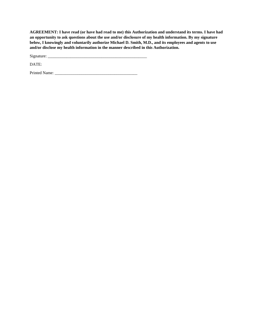**AGREEMENT: I have read (or have had read to me) this Authorization and understand its terms. I have had an opportunity to ask questions about the use and/or disclosure of my health information. By my signature below, I knowingly and voluntarily authorize Michael D. Smith, M.D., and its employees and agents to use and/or disclose my health information in the manner described in this Authorization.**

Signature: \_\_\_\_\_\_\_\_\_\_\_\_\_\_\_\_\_\_\_\_\_\_\_\_\_\_\_\_\_\_\_\_\_\_\_\_\_\_\_\_\_\_\_\_\_\_\_\_

DATE:

Printed Name: \_\_\_\_\_\_\_\_\_\_\_\_\_\_\_\_\_\_\_\_\_\_\_\_\_\_\_\_\_\_\_\_\_\_\_\_\_\_\_\_